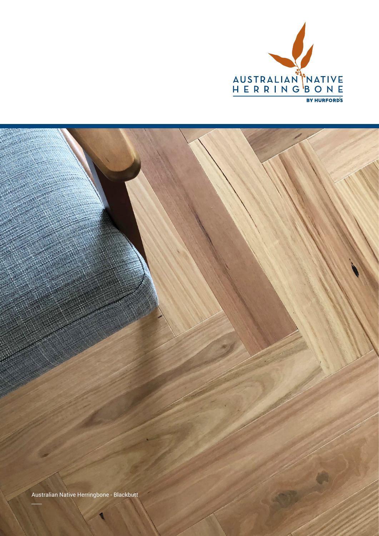